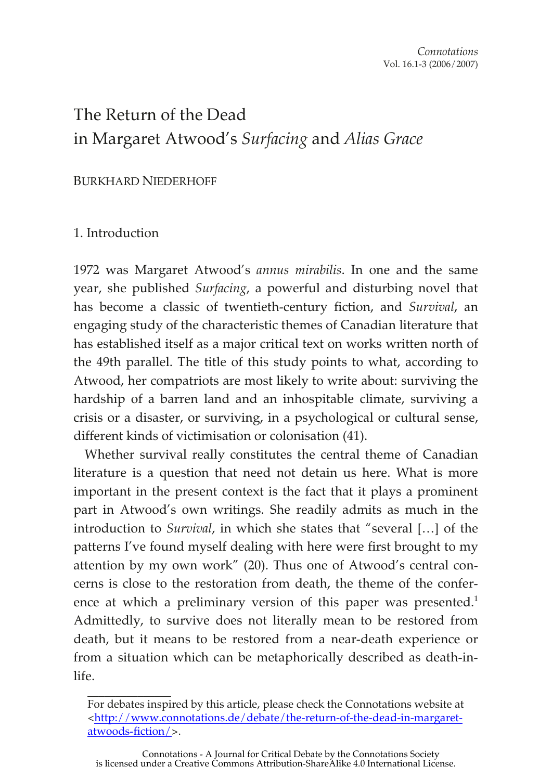# The Return of the Dead in Margaret Atwood's *Surfacing* and *Alias Grace*

### BURKHARD NIEDERHOFF

# 1. Introduction

 $\frac{1}{2}$ 

1972 was Margaret Atwood's *annus mirabilis*. In one and the same year, she published *Surfacing*, a powerful and disturbing novel that has become a classic of twentieth-century fiction, and *Survival*, an engaging study of the characteristic themes of Canadian literature that has established itself as a major critical text on works written north of the 49th parallel. The title of this study points to what, according to Atwood, her compatriots are most likely to write about: surviving the hardship of a barren land and an inhospitable climate, surviving a crisis or a disaster, or surviving, in a psychological or cultural sense, different kinds of victimisation or colonisation (41).

Whether survival really constitutes the central theme of Canadian literature is a question that need not detain us here. What is more important in the present context is the fact that it plays a prominent part in Atwood's own writings. She readily admits as much in the introduction to *Survival*, in which she states that "several […] of the patterns I've found myself dealing with here were first brought to my attention by my own work" (20). Thus one of Atwood's central concerns is close to the restoration from death, the theme of the conference at which a preliminary version of this paper was presented.<sup>1</sup> Admittedly, to survive does not literally mean to be restored from death, but it means to be restored from a near-death experience or from a situation which can be metaphorically described as death-inlife.

For debates inspired by this article, please check the Connotations website at [<http://www.connotations.de/debate/the-return-of-the-dead-in-margaret](http://www.connotations.de/debate/the-return-of-the-dead-in-margaret-atwoods-fiction/)atwoods-fiction/>.

Connotations - A Journal for Critical Debate by the Connotations Society is licensed under a Creative Commons Attribution-ShareAlike 4.0 International License.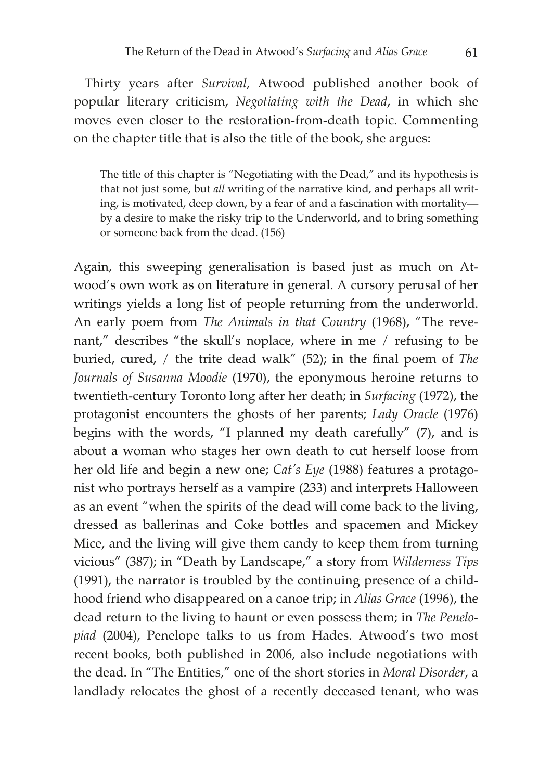Thirty years after *Survival*, Atwood published another book of popular literary criticism, *Negotiating with the Dead*, in which she moves even closer to the restoration-from-death topic. Commenting on the chapter title that is also the title of the book, she argues:

The title of this chapter is "Negotiating with the Dead," and its hypothesis is that not just some, but *all* writing of the narrative kind, and perhaps all writing, is motivated, deep down, by a fear of and a fascination with mortality by a desire to make the risky trip to the Underworld, and to bring something or someone back from the dead. (156)

Again, this sweeping generalisation is based just as much on Atwood's own work as on literature in general. A cursory perusal of her writings yields a long list of people returning from the underworld. An early poem from *The Animals in that Country* (1968), "The revenant," describes "the skull's noplace, where in me / refusing to be buried, cured, / the trite dead walk" (52); in the final poem of *The Journals of Susanna Moodie* (1970), the eponymous heroine returns to twentieth-century Toronto long after her death; in *Surfacing* (1972), the protagonist encounters the ghosts of her parents; *Lady Oracle* (1976) begins with the words, "I planned my death carefully" (7), and is about a woman who stages her own death to cut herself loose from her old life and begin a new one; *Cat's Eye* (1988) features a protagonist who portrays herself as a vampire (233) and interprets Halloween as an event "when the spirits of the dead will come back to the living, dressed as ballerinas and Coke bottles and spacemen and Mickey Mice, and the living will give them candy to keep them from turning vicious" (387); in "Death by Landscape," a story from *Wilderness Tips* (1991), the narrator is troubled by the continuing presence of a childhood friend who disappeared on a canoe trip; in *Alias Grace* (1996), the dead return to the living to haunt or even possess them; in *The Penelopiad* (2004), Penelope talks to us from Hades. Atwood's two most recent books, both published in 2006, also include negotiations with the dead. In "The Entities," one of the short stories in *Moral Disorder*, a landlady relocates the ghost of a recently deceased tenant, who was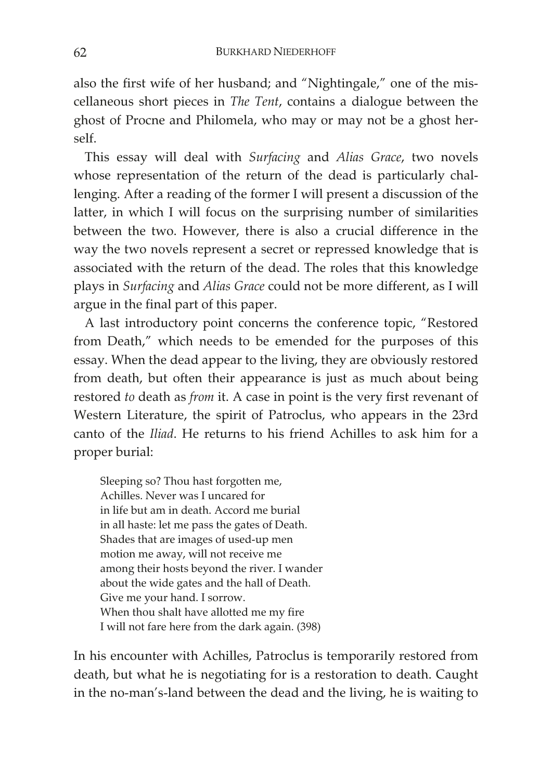also the first wife of her husband; and "Nightingale," one of the miscellaneous short pieces in *The Tent*, contains a dialogue between the ghost of Procne and Philomela, who may or may not be a ghost herself.

This essay will deal with *Surfacing* and *Alias Grace*, two novels whose representation of the return of the dead is particularly challenging. After a reading of the former I will present a discussion of the latter, in which I will focus on the surprising number of similarities between the two. However, there is also a crucial difference in the way the two novels represent a secret or repressed knowledge that is associated with the return of the dead. The roles that this knowledge plays in *Surfacing* and *Alias Grace* could not be more different, as I will argue in the final part of this paper.

A last introductory point concerns the conference topic, "Restored from Death," which needs to be emended for the purposes of this essay. When the dead appear to the living, they are obviously restored from death, but often their appearance is just as much about being restored *to* death as *from* it. A case in point is the very first revenant of Western Literature, the spirit of Patroclus, who appears in the 23rd canto of the *Iliad*. He returns to his friend Achilles to ask him for a proper burial:

Sleeping so? Thou hast forgotten me, Achilles. Never was I uncared for in life but am in death. Accord me burial in all haste: let me pass the gates of Death. Shades that are images of used-up men motion me away, will not receive me among their hosts beyond the river. I wander about the wide gates and the hall of Death. Give me your hand. I sorrow. When thou shalt have allotted me my fire I will not fare here from the dark again. (398)

In his encounter with Achilles, Patroclus is temporarily restored from death, but what he is negotiating for is a restoration to death. Caught in the no-man's-land between the dead and the living, he is waiting to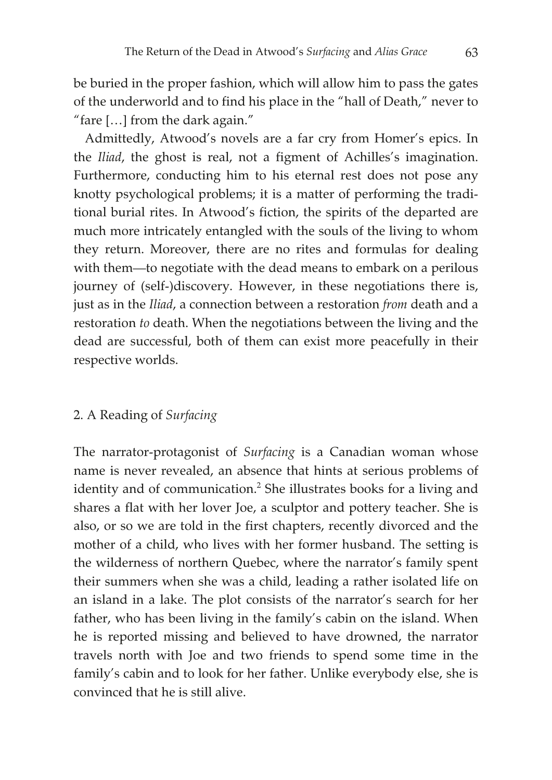be buried in the proper fashion, which will allow him to pass the gates of the underworld and to find his place in the "hall of Death," never to "fare […] from the dark again."

Admittedly, Atwood's novels are a far cry from Homer's epics. In the *Iliad*, the ghost is real, not a figment of Achilles's imagination. Furthermore, conducting him to his eternal rest does not pose any knotty psychological problems; it is a matter of performing the traditional burial rites. In Atwood's fiction, the spirits of the departed are much more intricately entangled with the souls of the living to whom they return. Moreover, there are no rites and formulas for dealing with them—to negotiate with the dead means to embark on a perilous journey of (self-)discovery. However, in these negotiations there is, just as in the *Iliad*, a connection between a restoration *from* death and a restoration *to* death. When the negotiations between the living and the dead are successful, both of them can exist more peacefully in their respective worlds.

# 2. A Reading of *Surfacing*

The narrator-protagonist of *Surfacing* is a Canadian woman whose name is never revealed, an absence that hints at serious problems of identity and of communication.<sup>2</sup> She illustrates books for a living and shares a flat with her lover Joe, a sculptor and pottery teacher. She is also, or so we are told in the first chapters, recently divorced and the mother of a child, who lives with her former husband. The setting is the wilderness of northern Quebec, where the narrator's family spent their summers when she was a child, leading a rather isolated life on an island in a lake. The plot consists of the narrator's search for her father, who has been living in the family's cabin on the island. When he is reported missing and believed to have drowned, the narrator travels north with Joe and two friends to spend some time in the family's cabin and to look for her father. Unlike everybody else, she is convinced that he is still alive.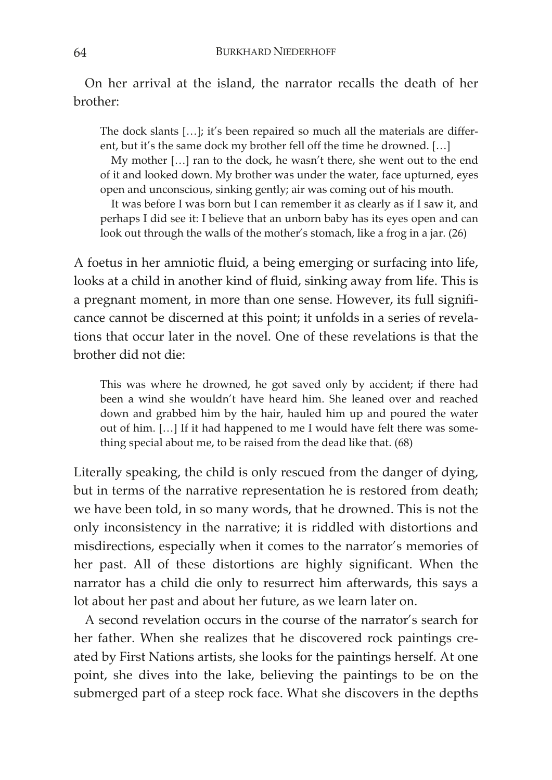On her arrival at the island, the narrator recalls the death of her brother:

The dock slants […]; it's been repaired so much all the materials are different, but it's the same dock my brother fell off the time he drowned. […]

My mother […] ran to the dock, he wasn't there, she went out to the end of it and looked down. My brother was under the water, face upturned, eyes open and unconscious, sinking gently; air was coming out of his mouth.

It was before I was born but I can remember it as clearly as if I saw it, and perhaps I did see it: I believe that an unborn baby has its eyes open and can look out through the walls of the mother's stomach, like a frog in a jar. (26)

A foetus in her amniotic fluid, a being emerging or surfacing into life, looks at a child in another kind of fluid, sinking away from life. This is a pregnant moment, in more than one sense. However, its full significance cannot be discerned at this point; it unfolds in a series of revelations that occur later in the novel. One of these revelations is that the brother did not die:

This was where he drowned, he got saved only by accident; if there had been a wind she wouldn't have heard him. She leaned over and reached down and grabbed him by the hair, hauled him up and poured the water out of him. […] If it had happened to me I would have felt there was something special about me, to be raised from the dead like that. (68)

Literally speaking, the child is only rescued from the danger of dying, but in terms of the narrative representation he is restored from death; we have been told, in so many words, that he drowned. This is not the only inconsistency in the narrative; it is riddled with distortions and misdirections, especially when it comes to the narrator's memories of her past. All of these distortions are highly significant. When the narrator has a child die only to resurrect him afterwards, this says a lot about her past and about her future, as we learn later on.

A second revelation occurs in the course of the narrator's search for her father. When she realizes that he discovered rock paintings created by First Nations artists, she looks for the paintings herself. At one point, she dives into the lake, believing the paintings to be on the submerged part of a steep rock face. What she discovers in the depths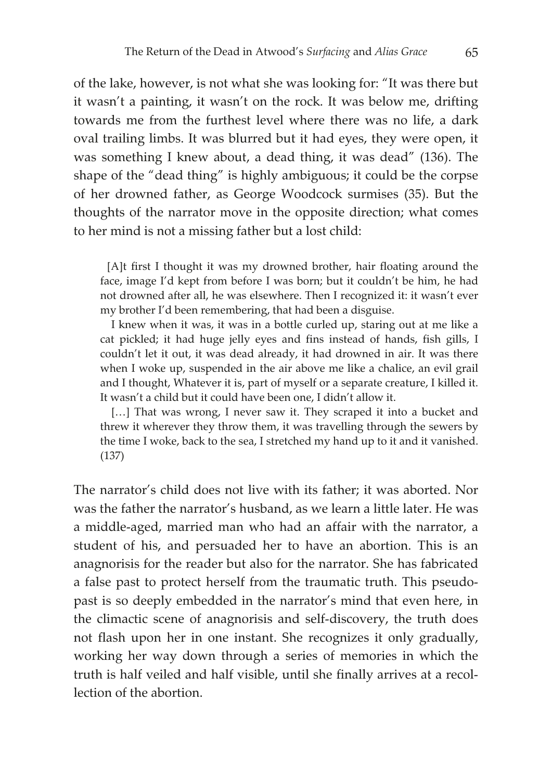of the lake, however, is not what she was looking for: "It was there but it wasn't a painting, it wasn't on the rock. It was below me, drifting towards me from the furthest level where there was no life, a dark oval trailing limbs. It was blurred but it had eyes, they were open, it was something I knew about, a dead thing, it was dead" (136). The shape of the "dead thing" is highly ambiguous; it could be the corpse of her drowned father, as George Woodcock surmises (35). But the thoughts of the narrator move in the opposite direction; what comes to her mind is not a missing father but a lost child:

[A]t first I thought it was my drowned brother, hair floating around the face, image I'd kept from before I was born; but it couldn't be him, he had not drowned after all, he was elsewhere. Then I recognized it: it wasn't ever my brother I'd been remembering, that had been a disguise.

I knew when it was, it was in a bottle curled up, staring out at me like a cat pickled; it had huge jelly eyes and fins instead of hands, fish gills, I couldn't let it out, it was dead already, it had drowned in air. It was there when I woke up, suspended in the air above me like a chalice, an evil grail and I thought, Whatever it is, part of myself or a separate creature, I killed it. It wasn't a child but it could have been one, I didn't allow it.

[...] That was wrong, I never saw it. They scraped it into a bucket and threw it wherever they throw them, it was travelling through the sewers by the time I woke, back to the sea, I stretched my hand up to it and it vanished. (137)

The narrator's child does not live with its father; it was aborted. Nor was the father the narrator's husband, as we learn a little later. He was a middle-aged, married man who had an affair with the narrator, a student of his, and persuaded her to have an abortion. This is an anagnorisis for the reader but also for the narrator. She has fabricated a false past to protect herself from the traumatic truth. This pseudopast is so deeply embedded in the narrator's mind that even here, in the climactic scene of anagnorisis and self-discovery, the truth does not flash upon her in one instant. She recognizes it only gradually, working her way down through a series of memories in which the truth is half veiled and half visible, until she finally arrives at a recollection of the abortion.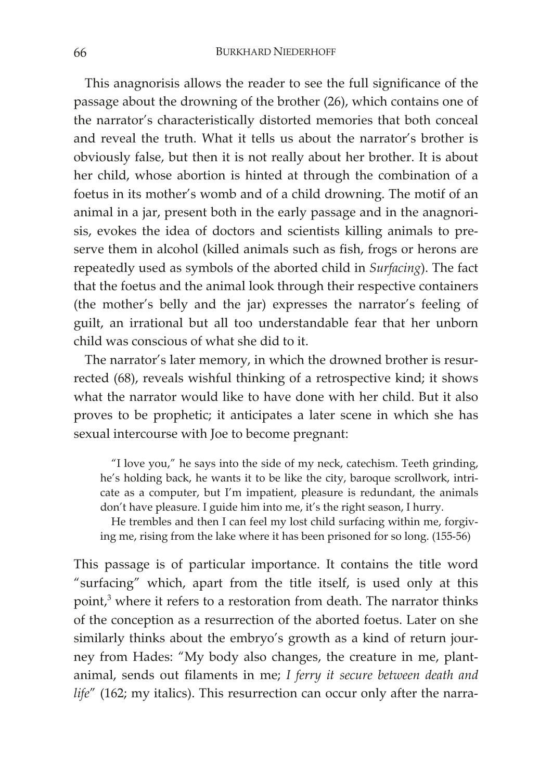This anagnorisis allows the reader to see the full significance of the passage about the drowning of the brother (26), which contains one of the narrator's characteristically distorted memories that both conceal and reveal the truth. What it tells us about the narrator's brother is obviously false, but then it is not really about her brother. It is about her child, whose abortion is hinted at through the combination of a foetus in its mother's womb and of a child drowning. The motif of an animal in a jar, present both in the early passage and in the anagnorisis, evokes the idea of doctors and scientists killing animals to preserve them in alcohol (killed animals such as fish, frogs or herons are repeatedly used as symbols of the aborted child in *Surfacing*). The fact that the foetus and the animal look through their respective containers (the mother's belly and the jar) expresses the narrator's feeling of guilt, an irrational but all too understandable fear that her unborn child was conscious of what she did to it.

The narrator's later memory, in which the drowned brother is resurrected (68), reveals wishful thinking of a retrospective kind; it shows what the narrator would like to have done with her child. But it also proves to be prophetic; it anticipates a later scene in which she has sexual intercourse with Joe to become pregnant:

"I love you," he says into the side of my neck, catechism. Teeth grinding, he's holding back, he wants it to be like the city, baroque scrollwork, intricate as a computer, but I'm impatient, pleasure is redundant, the animals don't have pleasure. I guide him into me, it's the right season, I hurry.

He trembles and then I can feel my lost child surfacing within me, forgiving me, rising from the lake where it has been prisoned for so long. (155-56)

This passage is of particular importance. It contains the title word "surfacing" which, apart from the title itself, is used only at this point,<sup>3</sup> where it refers to a restoration from death. The narrator thinks of the conception as a resurrection of the aborted foetus. Later on she similarly thinks about the embryo's growth as a kind of return journey from Hades: "My body also changes, the creature in me, plantanimal, sends out filaments in me; *I ferry it secure between death and life*" (162; my italics). This resurrection can occur only after the narra-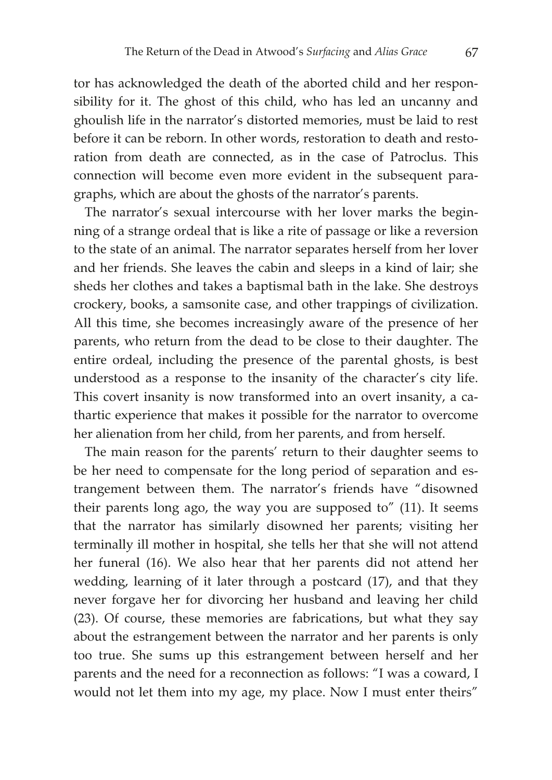tor has acknowledged the death of the aborted child and her responsibility for it. The ghost of this child, who has led an uncanny and ghoulish life in the narrator's distorted memories, must be laid to rest before it can be reborn. In other words, restoration to death and restoration from death are connected, as in the case of Patroclus. This connection will become even more evident in the subsequent paragraphs, which are about the ghosts of the narrator's parents.

The narrator's sexual intercourse with her lover marks the beginning of a strange ordeal that is like a rite of passage or like a reversion to the state of an animal. The narrator separates herself from her lover and her friends. She leaves the cabin and sleeps in a kind of lair; she sheds her clothes and takes a baptismal bath in the lake. She destroys crockery, books, a samsonite case, and other trappings of civilization. All this time, she becomes increasingly aware of the presence of her parents, who return from the dead to be close to their daughter. The entire ordeal, including the presence of the parental ghosts, is best understood as a response to the insanity of the character's city life. This covert insanity is now transformed into an overt insanity, a cathartic experience that makes it possible for the narrator to overcome her alienation from her child, from her parents, and from herself.

The main reason for the parents' return to their daughter seems to be her need to compensate for the long period of separation and estrangement between them. The narrator's friends have "disowned their parents long ago, the way you are supposed to" (11). It seems that the narrator has similarly disowned her parents; visiting her terminally ill mother in hospital, she tells her that she will not attend her funeral (16). We also hear that her parents did not attend her wedding, learning of it later through a postcard (17), and that they never forgave her for divorcing her husband and leaving her child (23). Of course, these memories are fabrications, but what they say about the estrangement between the narrator and her parents is only too true. She sums up this estrangement between herself and her parents and the need for a reconnection as follows: "I was a coward, I would not let them into my age, my place. Now I must enter theirs"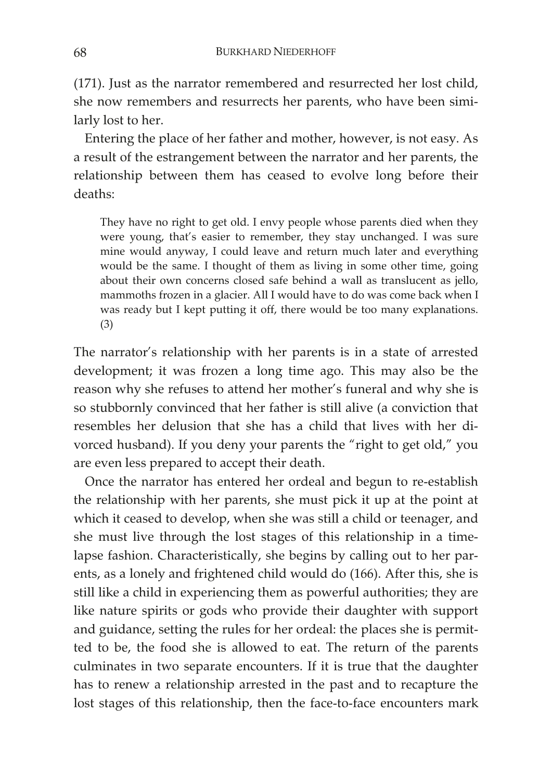(171). Just as the narrator remembered and resurrected her lost child, she now remembers and resurrects her parents, who have been similarly lost to her.

Entering the place of her father and mother, however, is not easy. As a result of the estrangement between the narrator and her parents, the relationship between them has ceased to evolve long before their deaths:

They have no right to get old. I envy people whose parents died when they were young, that's easier to remember, they stay unchanged. I was sure mine would anyway, I could leave and return much later and everything would be the same. I thought of them as living in some other time, going about their own concerns closed safe behind a wall as translucent as jello, mammoths frozen in a glacier. All I would have to do was come back when I was ready but I kept putting it off, there would be too many explanations. (3)

The narrator's relationship with her parents is in a state of arrested development; it was frozen a long time ago. This may also be the reason why she refuses to attend her mother's funeral and why she is so stubbornly convinced that her father is still alive (a conviction that resembles her delusion that she has a child that lives with her divorced husband). If you deny your parents the "right to get old," you are even less prepared to accept their death.

Once the narrator has entered her ordeal and begun to re-establish the relationship with her parents, she must pick it up at the point at which it ceased to develop, when she was still a child or teenager, and she must live through the lost stages of this relationship in a timelapse fashion. Characteristically, she begins by calling out to her parents, as a lonely and frightened child would do (166). After this, she is still like a child in experiencing them as powerful authorities; they are like nature spirits or gods who provide their daughter with support and guidance, setting the rules for her ordeal: the places she is permitted to be, the food she is allowed to eat. The return of the parents culminates in two separate encounters. If it is true that the daughter has to renew a relationship arrested in the past and to recapture the lost stages of this relationship, then the face-to-face encounters mark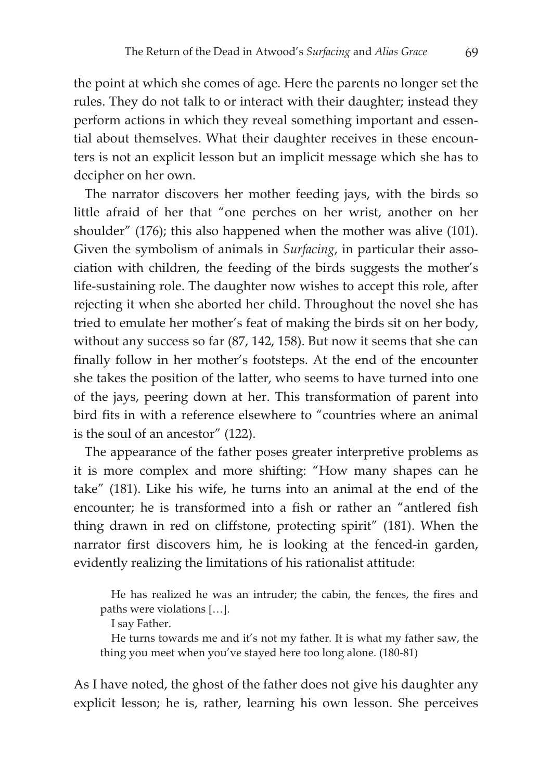the point at which she comes of age. Here the parents no longer set the rules. They do not talk to or interact with their daughter; instead they perform actions in which they reveal something important and essential about themselves. What their daughter receives in these encounters is not an explicit lesson but an implicit message which she has to decipher on her own.

The narrator discovers her mother feeding jays, with the birds so little afraid of her that "one perches on her wrist, another on her shoulder" (176); this also happened when the mother was alive (101). Given the symbolism of animals in *Surfacing*, in particular their association with children, the feeding of the birds suggests the mother's life-sustaining role. The daughter now wishes to accept this role, after rejecting it when she aborted her child. Throughout the novel she has tried to emulate her mother's feat of making the birds sit on her body, without any success so far (87, 142, 158). But now it seems that she can finally follow in her mother's footsteps. At the end of the encounter she takes the position of the latter, who seems to have turned into one of the jays, peering down at her. This transformation of parent into bird fits in with a reference elsewhere to "countries where an animal is the soul of an ancestor" (122).

The appearance of the father poses greater interpretive problems as it is more complex and more shifting: "How many shapes can he take" (181). Like his wife, he turns into an animal at the end of the encounter; he is transformed into a fish or rather an "antlered fish thing drawn in red on cliffstone, protecting spirit" (181). When the narrator first discovers him, he is looking at the fenced-in garden, evidently realizing the limitations of his rationalist attitude:

He has realized he was an intruder; the cabin, the fences, the fires and paths were violations […].

I say Father.

He turns towards me and it's not my father. It is what my father saw, the thing you meet when you've stayed here too long alone. (180-81)

As I have noted, the ghost of the father does not give his daughter any explicit lesson; he is, rather, learning his own lesson. She perceives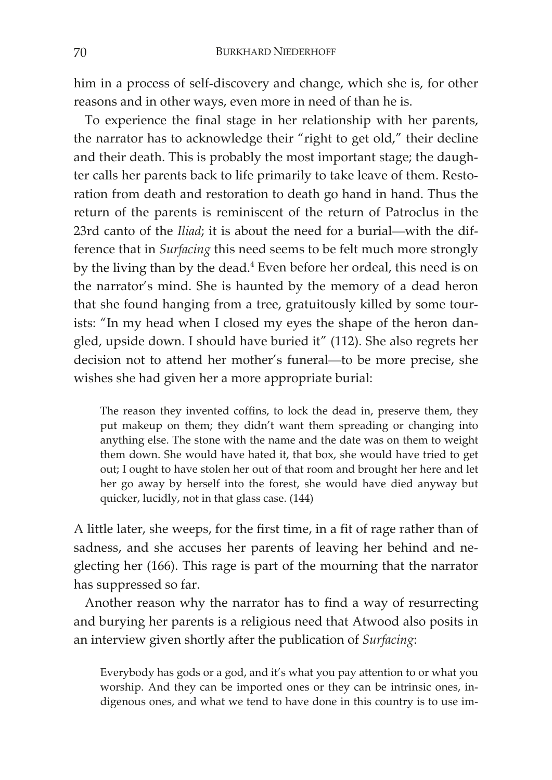him in a process of self-discovery and change, which she is, for other reasons and in other ways, even more in need of than he is.

To experience the final stage in her relationship with her parents, the narrator has to acknowledge their "right to get old," their decline and their death. This is probably the most important stage; the daughter calls her parents back to life primarily to take leave of them. Restoration from death and restoration to death go hand in hand. Thus the return of the parents is reminiscent of the return of Patroclus in the 23rd canto of the *Iliad*; it is about the need for a burial—with the difference that in *Surfacing* this need seems to be felt much more strongly by the living than by the dead.<sup>4</sup> Even before her ordeal, this need is on the narrator's mind. She is haunted by the memory of a dead heron that she found hanging from a tree, gratuitously killed by some tourists: "In my head when I closed my eyes the shape of the heron dangled, upside down. I should have buried it" (112). She also regrets her decision not to attend her mother's funeral—to be more precise, she wishes she had given her a more appropriate burial:

The reason they invented coffins, to lock the dead in, preserve them, they put makeup on them; they didn't want them spreading or changing into anything else. The stone with the name and the date was on them to weight them down. She would have hated it, that box, she would have tried to get out; I ought to have stolen her out of that room and brought her here and let her go away by herself into the forest, she would have died anyway but quicker, lucidly, not in that glass case. (144)

A little later, she weeps, for the first time, in a fit of rage rather than of sadness, and she accuses her parents of leaving her behind and neglecting her (166). This rage is part of the mourning that the narrator has suppressed so far.

Another reason why the narrator has to find a way of resurrecting and burying her parents is a religious need that Atwood also posits in an interview given shortly after the publication of *Surfacing*:

Everybody has gods or a god, and it's what you pay attention to or what you worship. And they can be imported ones or they can be intrinsic ones, indigenous ones, and what we tend to have done in this country is to use im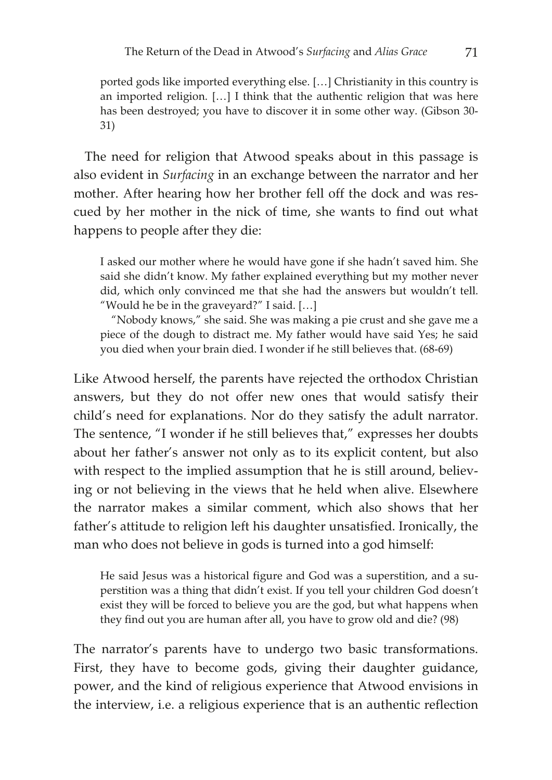ported gods like imported everything else. […] Christianity in this country is an imported religion. […] I think that the authentic religion that was here has been destroyed; you have to discover it in some other way. (Gibson 30- 31)

The need for religion that Atwood speaks about in this passage is also evident in *Surfacing* in an exchange between the narrator and her mother. After hearing how her brother fell off the dock and was rescued by her mother in the nick of time, she wants to find out what happens to people after they die:

I asked our mother where he would have gone if she hadn't saved him. She said she didn't know. My father explained everything but my mother never did, which only convinced me that she had the answers but wouldn't tell. "Would he be in the graveyard?" I said. […]

"Nobody knows," she said. She was making a pie crust and she gave me a piece of the dough to distract me. My father would have said Yes; he said you died when your brain died. I wonder if he still believes that. (68-69)

Like Atwood herself, the parents have rejected the orthodox Christian answers, but they do not offer new ones that would satisfy their child's need for explanations. Nor do they satisfy the adult narrator. The sentence, "I wonder if he still believes that," expresses her doubts about her father's answer not only as to its explicit content, but also with respect to the implied assumption that he is still around, believing or not believing in the views that he held when alive. Elsewhere the narrator makes a similar comment, which also shows that her father's attitude to religion left his daughter unsatisfied. Ironically, the man who does not believe in gods is turned into a god himself:

He said Jesus was a historical figure and God was a superstition, and a superstition was a thing that didn't exist. If you tell your children God doesn't exist they will be forced to believe you are the god, but what happens when they find out you are human after all, you have to grow old and die? (98)

The narrator's parents have to undergo two basic transformations. First, they have to become gods, giving their daughter guidance, power, and the kind of religious experience that Atwood envisions in the interview, i.e. a religious experience that is an authentic reflection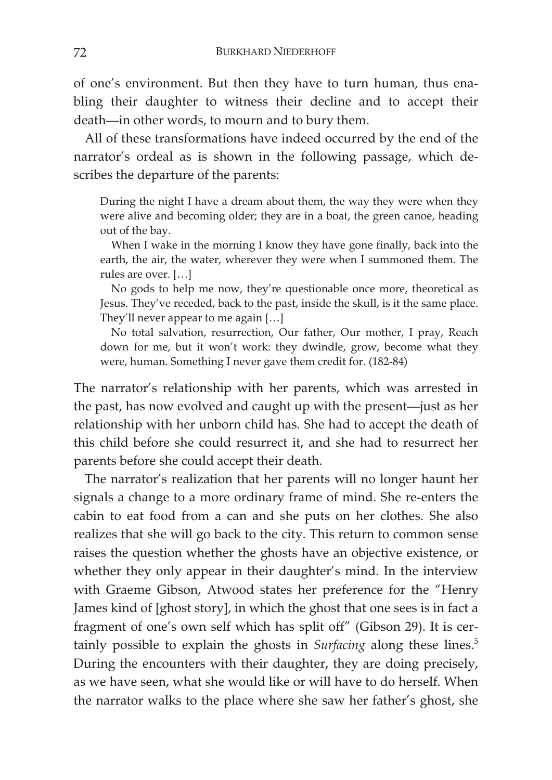of one's environment. But then they have to turn human, thus enabling their daughter to witness their decline and to accept their death—in other words, to mourn and to bury them.

All of these transformations have indeed occurred by the end of the narrator's ordeal as is shown in the following passage, which describes the departure of the parents:

During the night I have a dream about them, the way they were when they were alive and becoming older; they are in a boat, the green canoe, heading out of the bay.

When I wake in the morning I know they have gone finally, back into the earth, the air, the water, wherever they were when I summoned them. The rules are over. […]

No gods to help me now, they're questionable once more, theoretical as Jesus. They've receded, back to the past, inside the skull, is it the same place. They'll never appear to me again […]

No total salvation, resurrection, Our father, Our mother, I pray, Reach down for me, but it won't work: they dwindle, grow, become what they were, human. Something I never gave them credit for. (182-84)

The narrator's relationship with her parents, which was arrested in the past, has now evolved and caught up with the present—just as her relationship with her unborn child has. She had to accept the death of this child before she could resurrect it, and she had to resurrect her parents before she could accept their death.

The narrator's realization that her parents will no longer haunt her signals a change to a more ordinary frame of mind. She re-enters the cabin to eat food from a can and she puts on her clothes. She also realizes that she will go back to the city. This return to common sense raises the question whether the ghosts have an objective existence, or whether they only appear in their daughter's mind. In the interview with Graeme Gibson, Atwood states her preference for the "Henry James kind of [ghost story], in which the ghost that one sees is in fact a fragment of one's own self which has split off" (Gibson 29). It is certainly possible to explain the ghosts in *Surfacing* along these lines.<sup>5</sup> During the encounters with their daughter, they are doing precisely, as we have seen, what she would like or will have to do herself. When the narrator walks to the place where she saw her father's ghost, she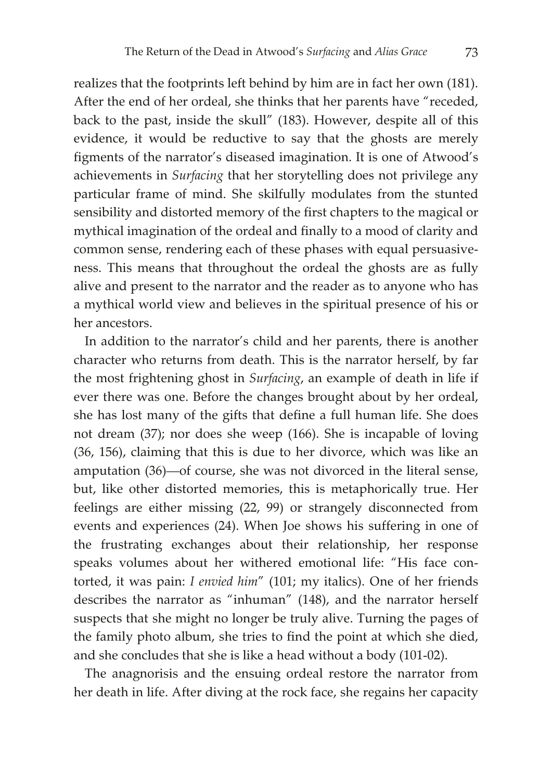realizes that the footprints left behind by him are in fact her own (181). After the end of her ordeal, she thinks that her parents have "receded, back to the past, inside the skull" (183). However, despite all of this evidence, it would be reductive to say that the ghosts are merely figments of the narrator's diseased imagination. It is one of Atwood's achievements in *Surfacing* that her storytelling does not privilege any particular frame of mind. She skilfully modulates from the stunted sensibility and distorted memory of the first chapters to the magical or mythical imagination of the ordeal and finally to a mood of clarity and common sense, rendering each of these phases with equal persuasiveness. This means that throughout the ordeal the ghosts are as fully alive and present to the narrator and the reader as to anyone who has a mythical world view and believes in the spiritual presence of his or her ancestors.

In addition to the narrator's child and her parents, there is another character who returns from death. This is the narrator herself, by far the most frightening ghost in *Surfacing*, an example of death in life if ever there was one. Before the changes brought about by her ordeal, she has lost many of the gifts that define a full human life. She does not dream (37); nor does she weep (166). She is incapable of loving (36, 156), claiming that this is due to her divorce, which was like an amputation (36)—of course, she was not divorced in the literal sense, but, like other distorted memories, this is metaphorically true. Her feelings are either missing (22, 99) or strangely disconnected from events and experiences (24). When Joe shows his suffering in one of the frustrating exchanges about their relationship, her response speaks volumes about her withered emotional life: "His face contorted, it was pain: *I envied him*" (101; my italics). One of her friends describes the narrator as "inhuman" (148), and the narrator herself suspects that she might no longer be truly alive. Turning the pages of the family photo album, she tries to find the point at which she died, and she concludes that she is like a head without a body (101-02).

The anagnorisis and the ensuing ordeal restore the narrator from her death in life. After diving at the rock face, she regains her capacity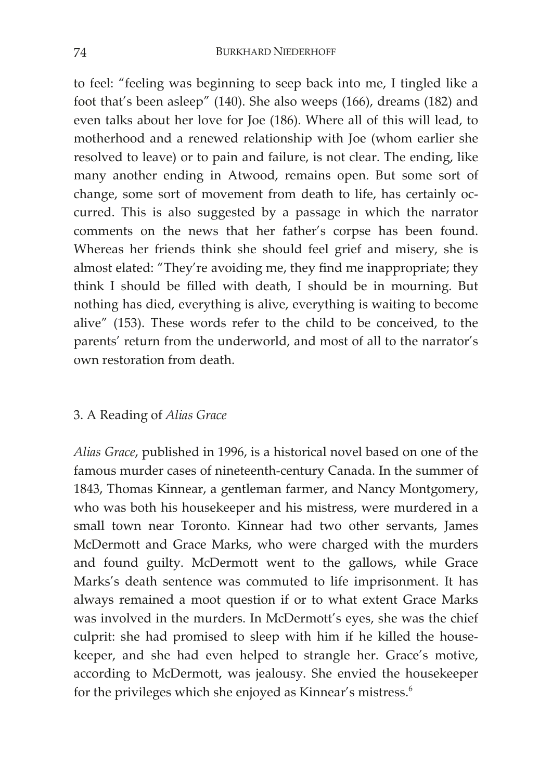to feel: "feeling was beginning to seep back into me, I tingled like a foot that's been asleep" (140). She also weeps (166), dreams (182) and even talks about her love for Joe (186). Where all of this will lead, to motherhood and a renewed relationship with Joe (whom earlier she resolved to leave) or to pain and failure, is not clear. The ending, like many another ending in Atwood, remains open. But some sort of change, some sort of movement from death to life, has certainly occurred. This is also suggested by a passage in which the narrator comments on the news that her father's corpse has been found. Whereas her friends think she should feel grief and misery, she is almost elated: "They're avoiding me, they find me inappropriate; they think I should be filled with death, I should be in mourning. But nothing has died, everything is alive, everything is waiting to become alive" (153). These words refer to the child to be conceived, to the parents' return from the underworld, and most of all to the narrator's own restoration from death.

# 3. A Reading of *Alias Grace*

*Alias Grace*, published in 1996, is a historical novel based on one of the famous murder cases of nineteenth-century Canada. In the summer of 1843, Thomas Kinnear, a gentleman farmer, and Nancy Montgomery, who was both his housekeeper and his mistress, were murdered in a small town near Toronto. Kinnear had two other servants, James McDermott and Grace Marks, who were charged with the murders and found guilty. McDermott went to the gallows, while Grace Marks's death sentence was commuted to life imprisonment. It has always remained a moot question if or to what extent Grace Marks was involved in the murders. In McDermott's eyes, she was the chief culprit: she had promised to sleep with him if he killed the housekeeper, and she had even helped to strangle her. Grace's motive, according to McDermott, was jealousy. She envied the housekeeper for the privileges which she enjoyed as Kinnear's mistress.<sup>6</sup>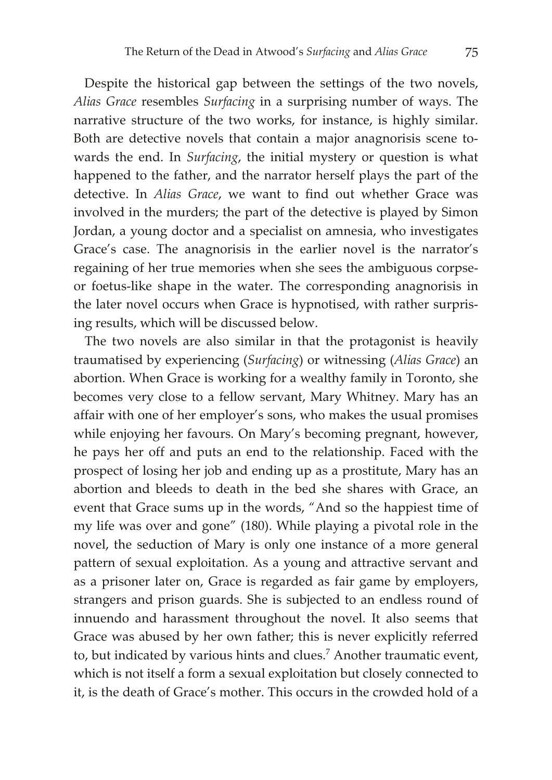Despite the historical gap between the settings of the two novels, *Alias Grace* resembles *Surfacing* in a surprising number of ways. The narrative structure of the two works, for instance, is highly similar. Both are detective novels that contain a major anagnorisis scene towards the end. In *Surfacing*, the initial mystery or question is what happened to the father, and the narrator herself plays the part of the detective. In *Alias Grace*, we want to find out whether Grace was involved in the murders; the part of the detective is played by Simon Jordan, a young doctor and a specialist on amnesia, who investigates Grace's case. The anagnorisis in the earlier novel is the narrator's regaining of her true memories when she sees the ambiguous corpseor foetus-like shape in the water. The corresponding anagnorisis in the later novel occurs when Grace is hypnotised, with rather surprising results, which will be discussed below.

The two novels are also similar in that the protagonist is heavily traumatised by experiencing (*Surfacing*) or witnessing (*Alias Grace*) an abortion. When Grace is working for a wealthy family in Toronto, she becomes very close to a fellow servant, Mary Whitney. Mary has an affair with one of her employer's sons, who makes the usual promises while enjoying her favours. On Mary's becoming pregnant, however, he pays her off and puts an end to the relationship. Faced with the prospect of losing her job and ending up as a prostitute, Mary has an abortion and bleeds to death in the bed she shares with Grace, an event that Grace sums up in the words, "And so the happiest time of my life was over and gone" (180). While playing a pivotal role in the novel, the seduction of Mary is only one instance of a more general pattern of sexual exploitation. As a young and attractive servant and as a prisoner later on, Grace is regarded as fair game by employers, strangers and prison guards. She is subjected to an endless round of innuendo and harassment throughout the novel. It also seems that Grace was abused by her own father; this is never explicitly referred to, but indicated by various hints and clues.<sup>7</sup> Another traumatic event, which is not itself a form a sexual exploitation but closely connected to it, is the death of Grace's mother. This occurs in the crowded hold of a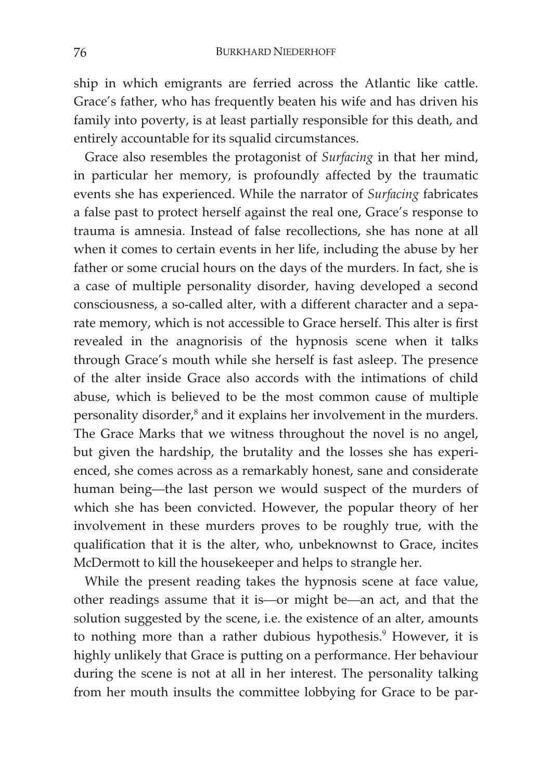ship in which emigrants are ferried across the Atlantic like cattle. Grace's father, who has frequently beaten his wife and has driven his family into poverty, is at least partially responsible for this death, and entirely accountable for its squalid circumstances.

Grace also resembles the protagonist of *Surfacing* in that her mind, in particular her memory, is profoundly affected by the traumatic events she has experienced. While the narrator of *Surfacing* fabricates a false past to protect herself against the real one, Grace's response to trauma is amnesia. Instead of false recollections, she has none at all when it comes to certain events in her life, including the abuse by her father or some crucial hours on the days of the murders. In fact, she is a case of multiple personality disorder, having developed a second consciousness, a so-called alter, with a different character and a separate memory, which is not accessible to Grace herself. This alter is first revealed in the anagnorisis of the hypnosis scene when it talks through Grace's mouth while she herself is fast asleep. The presence of the alter inside Grace also accords with the intimations of child abuse, which is believed to be the most common cause of multiple personality disorder,<sup>8</sup> and it explains her involvement in the murders. The Grace Marks that we witness throughout the novel is no angel, but given the hardship, the brutality and the losses she has experienced, she comes across as a remarkably honest, sane and considerate human being—the last person we would suspect of the murders of which she has been convicted. However, the popular theory of her involvement in these murders proves to be roughly true, with the qualification that it is the alter, who, unbeknownst to Grace, incites McDermott to kill the housekeeper and helps to strangle her.

While the present reading takes the hypnosis scene at face value, other readings assume that it is—or might be—an act, and that the solution suggested by the scene, i.e. the existence of an alter, amounts to nothing more than a rather dubious hypothesis.<sup>9</sup> However, it is highly unlikely that Grace is putting on a performance. Her behaviour during the scene is not at all in her interest. The personality talking from her mouth insults the committee lobbying for Grace to be par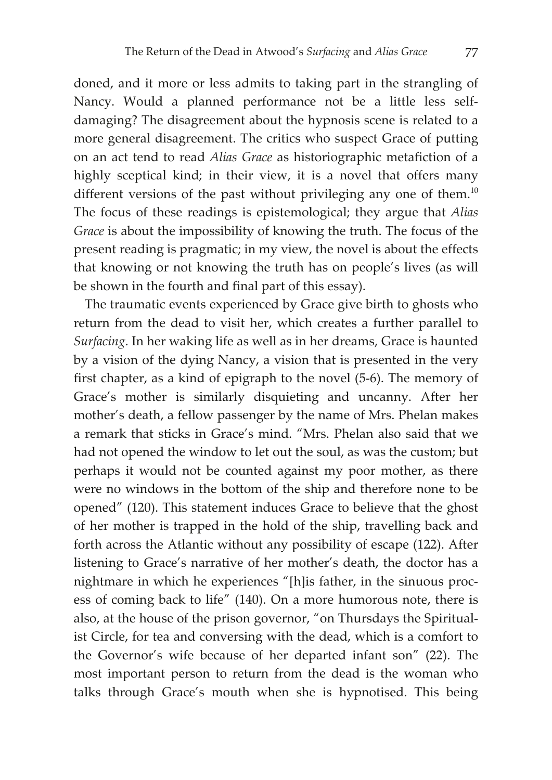doned, and it more or less admits to taking part in the strangling of Nancy. Would a planned performance not be a little less selfdamaging? The disagreement about the hypnosis scene is related to a more general disagreement. The critics who suspect Grace of putting on an act tend to read *Alias Grace* as historiographic metafiction of a highly sceptical kind; in their view, it is a novel that offers many different versions of the past without privileging any one of them.<sup>10</sup> The focus of these readings is epistemological; they argue that *Alias Grace* is about the impossibility of knowing the truth. The focus of the present reading is pragmatic; in my view, the novel is about the effects that knowing or not knowing the truth has on people's lives (as will be shown in the fourth and final part of this essay).

The traumatic events experienced by Grace give birth to ghosts who return from the dead to visit her, which creates a further parallel to *Surfacing*. In her waking life as well as in her dreams, Grace is haunted by a vision of the dying Nancy, a vision that is presented in the very first chapter, as a kind of epigraph to the novel (5-6). The memory of Grace's mother is similarly disquieting and uncanny. After her mother's death, a fellow passenger by the name of Mrs. Phelan makes a remark that sticks in Grace's mind. "Mrs. Phelan also said that we had not opened the window to let out the soul, as was the custom; but perhaps it would not be counted against my poor mother, as there were no windows in the bottom of the ship and therefore none to be opened" (120). This statement induces Grace to believe that the ghost of her mother is trapped in the hold of the ship, travelling back and forth across the Atlantic without any possibility of escape (122). After listening to Grace's narrative of her mother's death, the doctor has a nightmare in which he experiences "[h]is father, in the sinuous process of coming back to life" (140). On a more humorous note, there is also, at the house of the prison governor, "on Thursdays the Spiritualist Circle, for tea and conversing with the dead, which is a comfort to the Governor's wife because of her departed infant son" (22). The most important person to return from the dead is the woman who talks through Grace's mouth when she is hypnotised. This being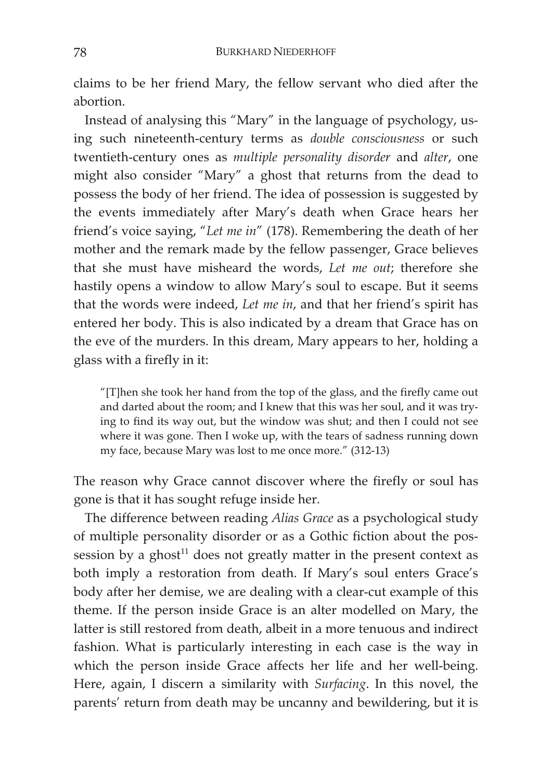claims to be her friend Mary, the fellow servant who died after the abortion.

Instead of analysing this "Mary" in the language of psychology, using such nineteenth-century terms as *double consciousness* or such twentieth-century ones as *multiple personality disorder* and *alter*, one might also consider "Mary" a ghost that returns from the dead to possess the body of her friend. The idea of possession is suggested by the events immediately after Mary's death when Grace hears her friend's voice saying, "*Let me in*" (178). Remembering the death of her mother and the remark made by the fellow passenger, Grace believes that she must have misheard the words, *Let me out*; therefore she hastily opens a window to allow Mary's soul to escape. But it seems that the words were indeed, *Let me in*, and that her friend's spirit has entered her body. This is also indicated by a dream that Grace has on the eve of the murders. In this dream, Mary appears to her, holding a glass with a firefly in it:

"[T]hen she took her hand from the top of the glass, and the firefly came out and darted about the room; and I knew that this was her soul, and it was trying to find its way out, but the window was shut; and then I could not see where it was gone. Then I woke up, with the tears of sadness running down my face, because Mary was lost to me once more." (312-13)

The reason why Grace cannot discover where the firefly or soul has gone is that it has sought refuge inside her.

The difference between reading *Alias Grace* as a psychological study of multiple personality disorder or as a Gothic fiction about the possession by a ghost $11$  does not greatly matter in the present context as both imply a restoration from death. If Mary's soul enters Grace's body after her demise, we are dealing with a clear-cut example of this theme. If the person inside Grace is an alter modelled on Mary, the latter is still restored from death, albeit in a more tenuous and indirect fashion. What is particularly interesting in each case is the way in which the person inside Grace affects her life and her well-being. Here, again, I discern a similarity with *Surfacing*. In this novel, the parents' return from death may be uncanny and bewildering, but it is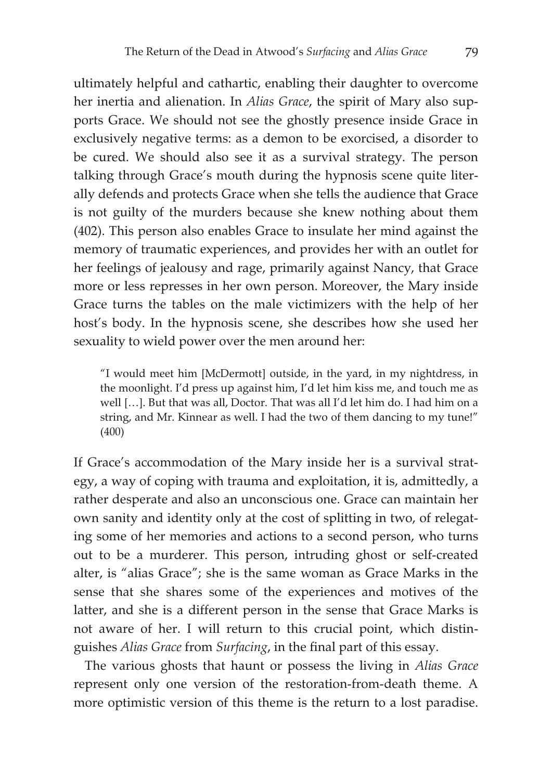ultimately helpful and cathartic, enabling their daughter to overcome her inertia and alienation. In *Alias Grace*, the spirit of Mary also supports Grace. We should not see the ghostly presence inside Grace in exclusively negative terms: as a demon to be exorcised, a disorder to be cured. We should also see it as a survival strategy. The person talking through Grace's mouth during the hypnosis scene quite literally defends and protects Grace when she tells the audience that Grace is not guilty of the murders because she knew nothing about them (402). This person also enables Grace to insulate her mind against the memory of traumatic experiences, and provides her with an outlet for her feelings of jealousy and rage, primarily against Nancy, that Grace more or less represses in her own person. Moreover, the Mary inside Grace turns the tables on the male victimizers with the help of her host's body. In the hypnosis scene, she describes how she used her sexuality to wield power over the men around her:

"I would meet him [McDermott] outside, in the yard, in my nightdress, in the moonlight. I'd press up against him, I'd let him kiss me, and touch me as well […]. But that was all, Doctor. That was all I'd let him do. I had him on a string, and Mr. Kinnear as well. I had the two of them dancing to my tune!" (400)

If Grace's accommodation of the Mary inside her is a survival strategy, a way of coping with trauma and exploitation, it is, admittedly, a rather desperate and also an unconscious one. Grace can maintain her own sanity and identity only at the cost of splitting in two, of relegating some of her memories and actions to a second person, who turns out to be a murderer. This person, intruding ghost or self-created alter, is "alias Grace"; she is the same woman as Grace Marks in the sense that she shares some of the experiences and motives of the latter, and she is a different person in the sense that Grace Marks is not aware of her. I will return to this crucial point, which distinguishes *Alias Grace* from *Surfacing*, in the final part of this essay.

The various ghosts that haunt or possess the living in *Alias Grace* represent only one version of the restoration-from-death theme. A more optimistic version of this theme is the return to a lost paradise.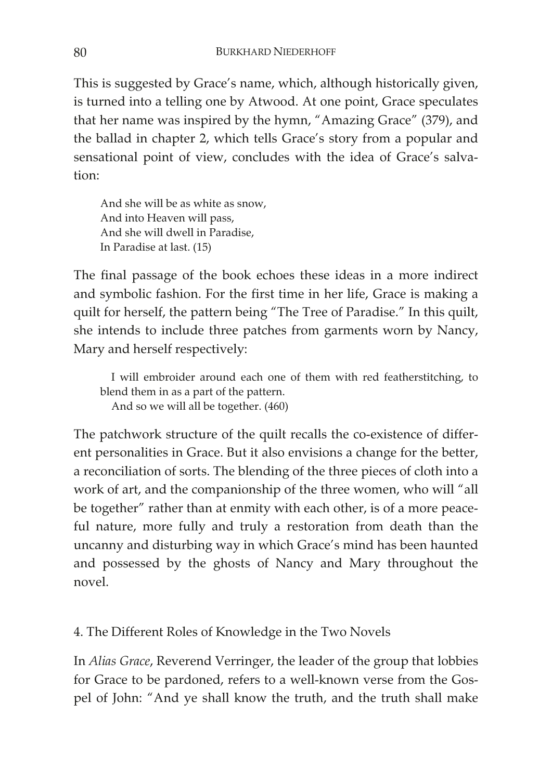This is suggested by Grace's name, which, although historically given, is turned into a telling one by Atwood. At one point, Grace speculates that her name was inspired by the hymn, "Amazing Grace" (379), and the ballad in chapter 2, which tells Grace's story from a popular and sensational point of view, concludes with the idea of Grace's salvation:

And she will be as white as snow, And into Heaven will pass, And she will dwell in Paradise, In Paradise at last. (15)

The final passage of the book echoes these ideas in a more indirect and symbolic fashion. For the first time in her life, Grace is making a quilt for herself, the pattern being "The Tree of Paradise." In this quilt, she intends to include three patches from garments worn by Nancy, Mary and herself respectively:

I will embroider around each one of them with red featherstitching, to blend them in as a part of the pattern. And so we will all be together. (460)

The patchwork structure of the quilt recalls the co-existence of different personalities in Grace. But it also envisions a change for the better, a reconciliation of sorts. The blending of the three pieces of cloth into a work of art, and the companionship of the three women, who will "all be together" rather than at enmity with each other, is of a more peaceful nature, more fully and truly a restoration from death than the uncanny and disturbing way in which Grace's mind has been haunted and possessed by the ghosts of Nancy and Mary throughout the novel.

4. The Different Roles of Knowledge in the Two Novels

In *Alias Grace*, Reverend Verringer, the leader of the group that lobbies for Grace to be pardoned, refers to a well-known verse from the Gospel of John: "And ye shall know the truth, and the truth shall make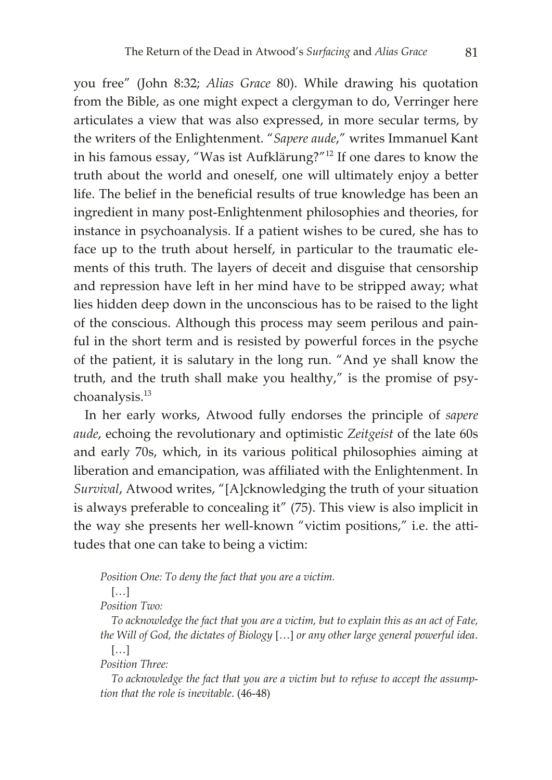you free" (John 8:32; *Alias Grace* 80). While drawing his quotation from the Bible, as one might expect a clergyman to do, Verringer here articulates a view that was also expressed, in more secular terms, by the writers of the Enlightenment. "*Sapere aude*," writes Immanuel Kant in his famous essay, "Was ist Aufklärung?"12 If one dares to know the truth about the world and oneself, one will ultimately enjoy a better life. The belief in the beneficial results of true knowledge has been an ingredient in many post-Enlightenment philosophies and theories, for instance in psychoanalysis. If a patient wishes to be cured, she has to face up to the truth about herself, in particular to the traumatic elements of this truth. The layers of deceit and disguise that censorship and repression have left in her mind have to be stripped away; what lies hidden deep down in the unconscious has to be raised to the light of the conscious. Although this process may seem perilous and painful in the short term and is resisted by powerful forces in the psyche of the patient, it is salutary in the long run. "And ye shall know the truth, and the truth shall make you healthy," is the promise of psychoanalysis.13

In her early works, Atwood fully endorses the principle of *sapere aude*, echoing the revolutionary and optimistic *Zeitgeist* of the late 60s and early 70s, which, in its various political philosophies aiming at liberation and emancipation, was affiliated with the Enlightenment. In *Survival*, Atwood writes, "[A]cknowledging the truth of your situation is always preferable to concealing it" (75). This view is also implicit in the way she presents her well-known "victim positions," i.e. the attitudes that one can take to being a victim:

*Position One: To deny the fact that you are a victim.* 

[…]

*Position Two:* 

*To acknowledge the fact that you are a victim, but to explain this as an act of Fate, the Will of God, the dictates of Biology* […] *or any other large general powerful idea*.  $[\dots]$ 

*Position Three:* 

*To acknowledge the fact that you are a victim but to refuse to accept the assumption that the role is inevitable*. (46-48)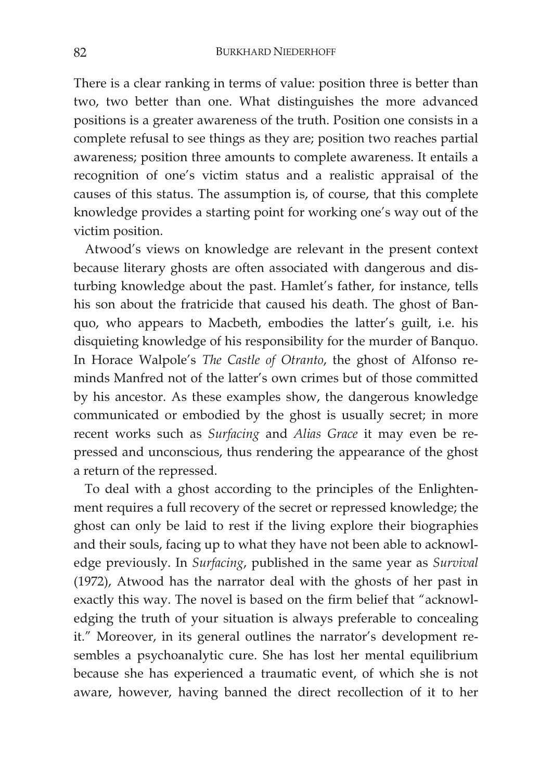There is a clear ranking in terms of value: position three is better than two, two better than one. What distinguishes the more advanced positions is a greater awareness of the truth. Position one consists in a complete refusal to see things as they are; position two reaches partial awareness; position three amounts to complete awareness. It entails a recognition of one's victim status and a realistic appraisal of the causes of this status. The assumption is, of course, that this complete knowledge provides a starting point for working one's way out of the victim position.

Atwood's views on knowledge are relevant in the present context because literary ghosts are often associated with dangerous and disturbing knowledge about the past. Hamlet's father, for instance, tells his son about the fratricide that caused his death. The ghost of Banquo, who appears to Macbeth, embodies the latter's guilt, i.e. his disquieting knowledge of his responsibility for the murder of Banquo. In Horace Walpole's *The Castle of Otranto*, the ghost of Alfonso reminds Manfred not of the latter's own crimes but of those committed by his ancestor. As these examples show, the dangerous knowledge communicated or embodied by the ghost is usually secret; in more recent works such as *Surfacing* and *Alias Grace* it may even be repressed and unconscious, thus rendering the appearance of the ghost a return of the repressed.

To deal with a ghost according to the principles of the Enlightenment requires a full recovery of the secret or repressed knowledge; the ghost can only be laid to rest if the living explore their biographies and their souls, facing up to what they have not been able to acknowledge previously. In *Surfacing*, published in the same year as *Survival* (1972), Atwood has the narrator deal with the ghosts of her past in exactly this way. The novel is based on the firm belief that "acknowledging the truth of your situation is always preferable to concealing it." Moreover, in its general outlines the narrator's development resembles a psychoanalytic cure. She has lost her mental equilibrium because she has experienced a traumatic event, of which she is not aware, however, having banned the direct recollection of it to her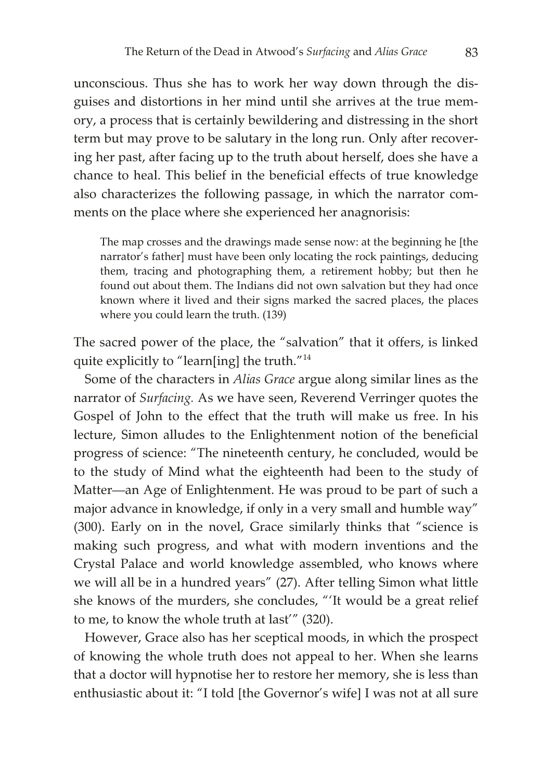unconscious. Thus she has to work her way down through the disguises and distortions in her mind until she arrives at the true memory, a process that is certainly bewildering and distressing in the short term but may prove to be salutary in the long run. Only after recovering her past, after facing up to the truth about herself, does she have a chance to heal. This belief in the beneficial effects of true knowledge also characterizes the following passage, in which the narrator comments on the place where she experienced her anagnorisis:

The map crosses and the drawings made sense now: at the beginning he [the narrator's father] must have been only locating the rock paintings, deducing them, tracing and photographing them, a retirement hobby; but then he found out about them. The Indians did not own salvation but they had once known where it lived and their signs marked the sacred places, the places where you could learn the truth. (139)

The sacred power of the place, the "salvation" that it offers, is linked quite explicitly to "learn[ing] the truth."<sup>14</sup>

Some of the characters in *Alias Grace* argue along similar lines as the narrator of *Surfacing.* As we have seen, Reverend Verringer quotes the Gospel of John to the effect that the truth will make us free. In his lecture, Simon alludes to the Enlightenment notion of the beneficial progress of science: "The nineteenth century, he concluded, would be to the study of Mind what the eighteenth had been to the study of Matter—an Age of Enlightenment. He was proud to be part of such a major advance in knowledge, if only in a very small and humble way" (300). Early on in the novel, Grace similarly thinks that "science is making such progress, and what with modern inventions and the Crystal Palace and world knowledge assembled, who knows where we will all be in a hundred years" (27). After telling Simon what little she knows of the murders, she concludes, "'It would be a great relief to me, to know the whole truth at last'" (320).

However, Grace also has her sceptical moods, in which the prospect of knowing the whole truth does not appeal to her. When she learns that a doctor will hypnotise her to restore her memory, she is less than enthusiastic about it: "I told [the Governor's wife] I was not at all sure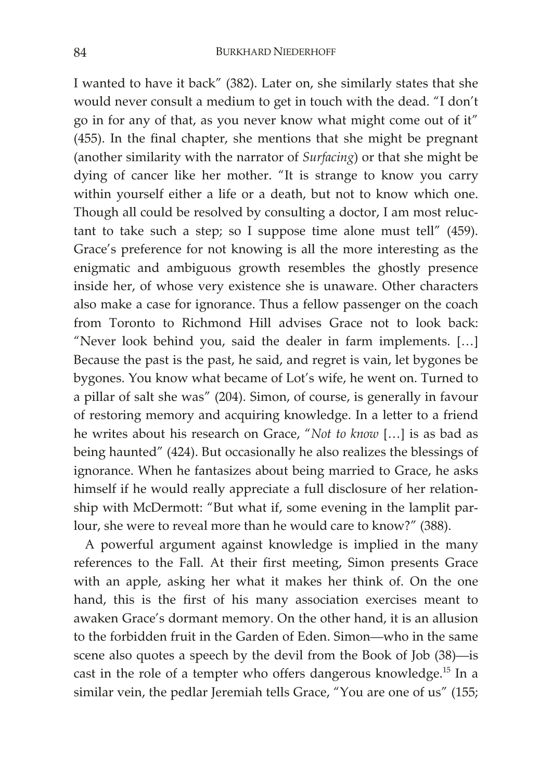I wanted to have it back" (382). Later on, she similarly states that she would never consult a medium to get in touch with the dead. "I don't go in for any of that, as you never know what might come out of it" (455). In the final chapter, she mentions that she might be pregnant (another similarity with the narrator of *Surfacing*) or that she might be dying of cancer like her mother. "It is strange to know you carry within yourself either a life or a death, but not to know which one. Though all could be resolved by consulting a doctor, I am most reluctant to take such a step; so I suppose time alone must tell" (459). Grace's preference for not knowing is all the more interesting as the enigmatic and ambiguous growth resembles the ghostly presence inside her, of whose very existence she is unaware. Other characters also make a case for ignorance. Thus a fellow passenger on the coach from Toronto to Richmond Hill advises Grace not to look back: "Never look behind you, said the dealer in farm implements. […] Because the past is the past, he said, and regret is vain, let bygones be bygones. You know what became of Lot's wife, he went on. Turned to a pillar of salt she was" (204). Simon, of course, is generally in favour of restoring memory and acquiring knowledge. In a letter to a friend he writes about his research on Grace, "*Not to know* […] is as bad as being haunted" (424). But occasionally he also realizes the blessings of ignorance. When he fantasizes about being married to Grace, he asks himself if he would really appreciate a full disclosure of her relationship with McDermott: "But what if, some evening in the lamplit parlour, she were to reveal more than he would care to know?" (388).

A powerful argument against knowledge is implied in the many references to the Fall. At their first meeting, Simon presents Grace with an apple, asking her what it makes her think of. On the one hand, this is the first of his many association exercises meant to awaken Grace's dormant memory. On the other hand, it is an allusion to the forbidden fruit in the Garden of Eden. Simon—who in the same scene also quotes a speech by the devil from the Book of Job (38)—is cast in the role of a tempter who offers dangerous knowledge.<sup>15</sup> In a similar vein, the pedlar Jeremiah tells Grace, "You are one of us" (155;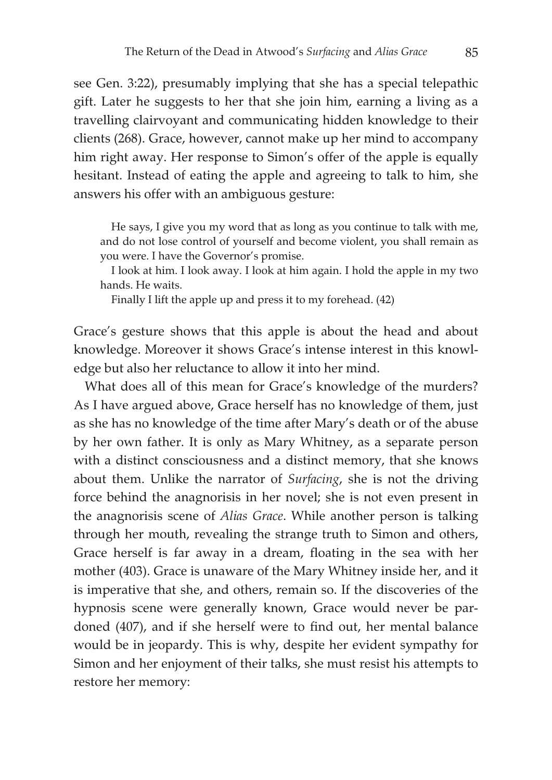see Gen. 3:22), presumably implying that she has a special telepathic gift. Later he suggests to her that she join him, earning a living as a travelling clairvoyant and communicating hidden knowledge to their clients (268). Grace, however, cannot make up her mind to accompany him right away. Her response to Simon's offer of the apple is equally hesitant. Instead of eating the apple and agreeing to talk to him, she answers his offer with an ambiguous gesture:

He says, I give you my word that as long as you continue to talk with me, and do not lose control of yourself and become violent, you shall remain as you were. I have the Governor's promise.

I look at him. I look away. I look at him again. I hold the apple in my two hands. He waits.

Finally I lift the apple up and press it to my forehead. (42)

Grace's gesture shows that this apple is about the head and about knowledge. Moreover it shows Grace's intense interest in this knowledge but also her reluctance to allow it into her mind.

What does all of this mean for Grace's knowledge of the murders? As I have argued above, Grace herself has no knowledge of them, just as she has no knowledge of the time after Mary's death or of the abuse by her own father. It is only as Mary Whitney, as a separate person with a distinct consciousness and a distinct memory, that she knows about them. Unlike the narrator of *Surfacing*, she is not the driving force behind the anagnorisis in her novel; she is not even present in the anagnorisis scene of *Alias Grace*. While another person is talking through her mouth, revealing the strange truth to Simon and others, Grace herself is far away in a dream, floating in the sea with her mother (403). Grace is unaware of the Mary Whitney inside her, and it is imperative that she, and others, remain so. If the discoveries of the hypnosis scene were generally known, Grace would never be pardoned (407), and if she herself were to find out, her mental balance would be in jeopardy. This is why, despite her evident sympathy for Simon and her enjoyment of their talks, she must resist his attempts to restore her memory: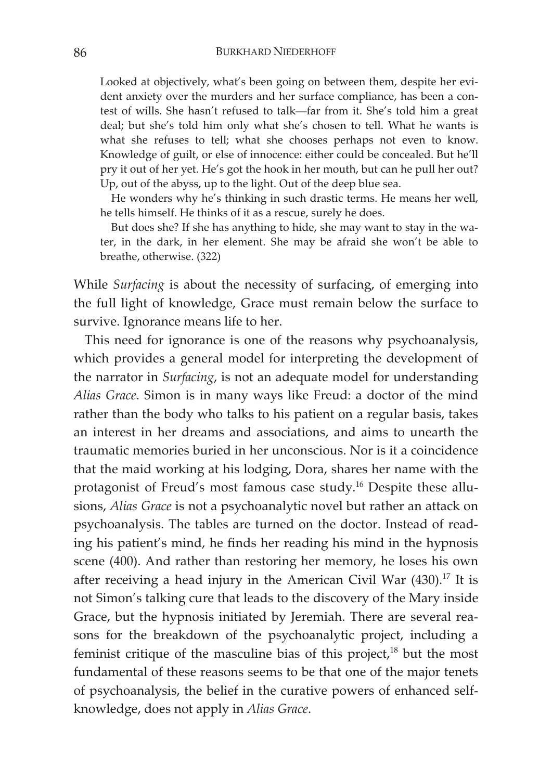Looked at objectively, what's been going on between them, despite her evident anxiety over the murders and her surface compliance, has been a contest of wills. She hasn't refused to talk—far from it. She's told him a great deal; but she's told him only what she's chosen to tell. What he wants is what she refuses to tell; what she chooses perhaps not even to know. Knowledge of guilt, or else of innocence: either could be concealed. But he'll pry it out of her yet. He's got the hook in her mouth, but can he pull her out? Up, out of the abyss, up to the light. Out of the deep blue sea.

He wonders why he's thinking in such drastic terms. He means her well, he tells himself. He thinks of it as a rescue, surely he does.

But does she? If she has anything to hide, she may want to stay in the water, in the dark, in her element. She may be afraid she won't be able to breathe, otherwise. (322)

While *Surfacing* is about the necessity of surfacing, of emerging into the full light of knowledge, Grace must remain below the surface to survive. Ignorance means life to her.

This need for ignorance is one of the reasons why psychoanalysis, which provides a general model for interpreting the development of the narrator in *Surfacing*, is not an adequate model for understanding *Alias Grace*. Simon is in many ways like Freud: a doctor of the mind rather than the body who talks to his patient on a regular basis, takes an interest in her dreams and associations, and aims to unearth the traumatic memories buried in her unconscious. Nor is it a coincidence that the maid working at his lodging, Dora, shares her name with the protagonist of Freud's most famous case study.<sup>16</sup> Despite these allusions, *Alias Grace* is not a psychoanalytic novel but rather an attack on psychoanalysis. The tables are turned on the doctor. Instead of reading his patient's mind, he finds her reading his mind in the hypnosis scene (400). And rather than restoring her memory, he loses his own after receiving a head injury in the American Civil War  $(430).^{17}$  It is not Simon's talking cure that leads to the discovery of the Mary inside Grace, but the hypnosis initiated by Jeremiah. There are several reasons for the breakdown of the psychoanalytic project, including a feminist critique of the masculine bias of this project, $18$  but the most fundamental of these reasons seems to be that one of the major tenets of psychoanalysis, the belief in the curative powers of enhanced selfknowledge, does not apply in *Alias Grace*.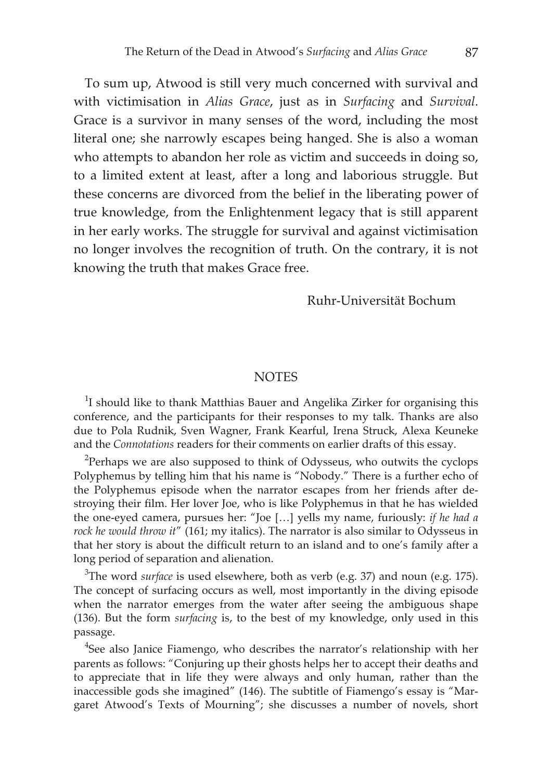To sum up, Atwood is still very much concerned with survival and with victimisation in *Alias Grace*, just as in *Surfacing* and *Survival*. Grace is a survivor in many senses of the word, including the most literal one; she narrowly escapes being hanged. She is also a woman who attempts to abandon her role as victim and succeeds in doing so, to a limited extent at least, after a long and laborious struggle. But these concerns are divorced from the belief in the liberating power of true knowledge, from the Enlightenment legacy that is still apparent in her early works. The struggle for survival and against victimisation no longer involves the recognition of truth. On the contrary, it is not knowing the truth that makes Grace free.

#### Ruhr-Universität Bochum

#### **NOTES**

 $1$ I should like to thank Matthias Bauer and Angelika Zirker for organising this conference, and the participants for their responses to my talk. Thanks are also due to Pola Rudnik, Sven Wagner, Frank Kearful, Irena Struck, Alexa Keuneke and the *Connotations* readers for their comments on earlier drafts of this essay.

 $2$ Perhaps we are also supposed to think of Odysseus, who outwits the cyclops Polyphemus by telling him that his name is "Nobody." There is a further echo of the Polyphemus episode when the narrator escapes from her friends after destroying their film. Her lover Joe, who is like Polyphemus in that he has wielded the one-eyed camera, pursues her: "Joe […] yells my name, furiously: *if he had a rock he would throw it*" (161; my italics). The narrator is also similar to Odysseus in that her story is about the difficult return to an island and to one's family after a long period of separation and alienation.

3 The word *surface* is used elsewhere, both as verb (e.g. 37) and noun (e.g. 175). The concept of surfacing occurs as well, most importantly in the diving episode when the narrator emerges from the water after seeing the ambiguous shape (136). But the form *surfacing* is, to the best of my knowledge, only used in this passage.

<sup>4</sup>See also Janice Fiamengo, who describes the narrator's relationship with her parents as follows: "Conjuring up their ghosts helps her to accept their deaths and to appreciate that in life they were always and only human, rather than the inaccessible gods she imagined" (146). The subtitle of Fiamengo's essay is "Margaret Atwood's Texts of Mourning"; she discusses a number of novels, short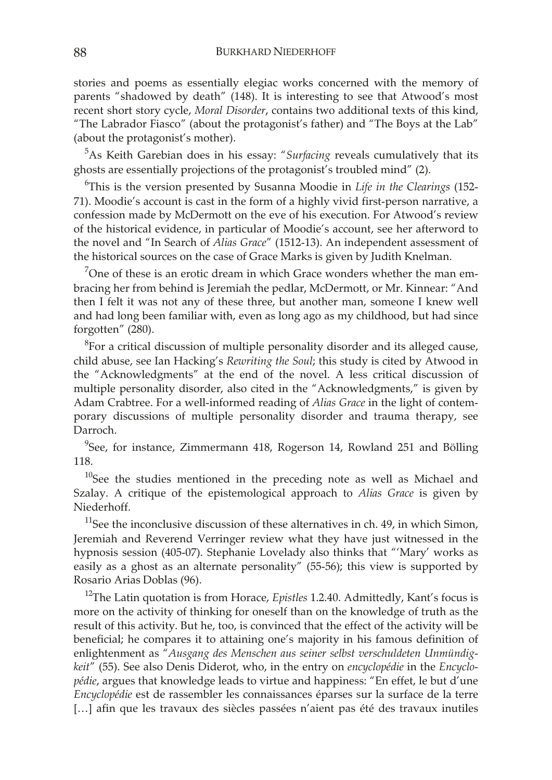stories and poems as essentially elegiac works concerned with the memory of parents "shadowed by death" (148). It is interesting to see that Atwood's most recent short story cycle, *Moral Disorder*, contains two additional texts of this kind, "The Labrador Fiasco" (about the protagonist's father) and "The Boys at the Lab" (about the protagonist's mother).

5 As Keith Garebian does in his essay: "*Surfacing* reveals cumulatively that its ghosts are essentially projections of the protagonist's troubled mind" (2).

6 This is the version presented by Susanna Moodie in *Life in the Clearings* (152- 71). Moodie's account is cast in the form of a highly vivid first-person narrative, a confession made by McDermott on the eve of his execution. For Atwood's review of the historical evidence, in particular of Moodie's account, see her afterword to the novel and "In Search of *Alias Grace*" (1512-13). An independent assessment of the historical sources on the case of Grace Marks is given by Judith Knelman.

<sup>7</sup>One of these is an erotic dream in which Grace wonders whether the man embracing her from behind is Jeremiah the pedlar, McDermott, or Mr. Kinnear: "And then I felt it was not any of these three, but another man, someone I knew well and had long been familiar with, even as long ago as my childhood, but had since forgotten" (280).

 ${}^{8}$ For a critical discussion of multiple personality disorder and its alleged cause, child abuse, see Ian Hacking's *Rewriting the Soul*; this study is cited by Atwood in the "Acknowledgments" at the end of the novel. A less critical discussion of multiple personality disorder, also cited in the "Acknowledgments," is given by Adam Crabtree. For a well-informed reading of *Alias Grace* in the light of contemporary discussions of multiple personality disorder and trauma therapy, see Darroch.

 $9$ See, for instance, Zimmermann 418, Rogerson 14, Rowland 251 and Bölling 118.

 $10$ See the studies mentioned in the preceding note as well as Michael and Szalay. A critique of the epistemological approach to *Alias Grace* is given by Niederhoff.

 $11$ See the inconclusive discussion of these alternatives in ch. 49, in which Simon, Jeremiah and Reverend Verringer review what they have just witnessed in the hypnosis session (405-07). Stephanie Lovelady also thinks that "'Mary' works as easily as a ghost as an alternate personality" (55-56); this view is supported by Rosario Arias Doblas (96).

12The Latin quotation is from Horace, *Epistles* 1.2.40. Admittedly, Kant's focus is more on the activity of thinking for oneself than on the knowledge of truth as the result of this activity. But he, too, is convinced that the effect of the activity will be beneficial; he compares it to attaining one's majority in his famous definition of enlightenment as "*Ausgang des Menschen aus seiner selbst verschuldeten Unmündigkeit*" (55). See also Denis Diderot, who, in the entry on *encyclopédie* in the *Encyclopédie*, argues that knowledge leads to virtue and happiness: "En effet, le but d'une *Encyclopédie* est de rassembler les connaissances éparses sur la surface de la terre [...] afin que les travaux des siècles passées n'aient pas été des travaux inutiles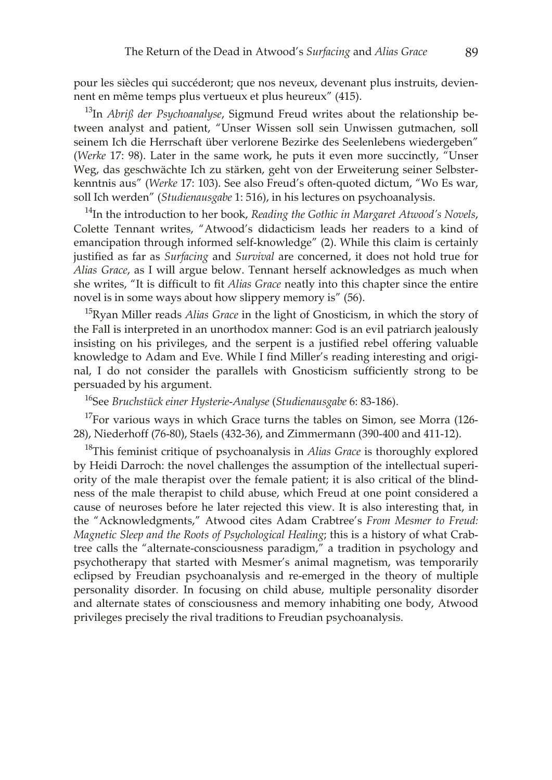pour les siècles qui succéderont; que nos neveux, devenant plus instruits, deviennent en même temps plus vertueux et plus heureux" (415).

13In *Abriß der Psychoanalyse*, Sigmund Freud writes about the relationship between analyst and patient, "Unser Wissen soll sein Unwissen gutmachen, soll seinem Ich die Herrschaft über verlorene Bezirke des Seelenlebens wiedergeben" (*Werke* 17: 98). Later in the same work, he puts it even more succinctly, "Unser Weg, das geschwächte Ich zu stärken, geht von der Erweiterung seiner Selbsterkenntnis aus" (*Werke* 17: 103). See also Freud's often-quoted dictum, "Wo Es war, soll Ich werden" (*Studienausgabe* 1: 516), in his lectures on psychoanalysis.

<sup>14</sup>In the introduction to her book, *Reading the Gothic in Margaret Atwood's Novels*, Colette Tennant writes, "Atwood's didacticism leads her readers to a kind of emancipation through informed self-knowledge" (2). While this claim is certainly justified as far as *Surfacing* and *Survival* are concerned, it does not hold true for *Alias Grace*, as I will argue below. Tennant herself acknowledges as much when she writes, "It is difficult to fit *Alias Grace* neatly into this chapter since the entire novel is in some ways about how slippery memory is" (56).

15Ryan Miller reads *Alias Grace* in the light of Gnosticism, in which the story of the Fall is interpreted in an unorthodox manner: God is an evil patriarch jealously insisting on his privileges, and the serpent is a justified rebel offering valuable knowledge to Adam and Eve. While I find Miller's reading interesting and original, I do not consider the parallels with Gnosticism sufficiently strong to be persuaded by his argument.

16See *Bruchstück einer Hysterie-Analyse* (*Studienausgabe* 6: 83-186).

 $17$ For various ways in which Grace turns the tables on Simon, see Morra (126-28), Niederhoff (76-80), Staels (432-36), and Zimmermann (390-400 and 411-12).

18This feminist critique of psychoanalysis in *Alias Grace* is thoroughly explored by Heidi Darroch: the novel challenges the assumption of the intellectual superiority of the male therapist over the female patient; it is also critical of the blindness of the male therapist to child abuse, which Freud at one point considered a cause of neuroses before he later rejected this view. It is also interesting that, in the "Acknowledgments," Atwood cites Adam Crabtree's *From Mesmer to Freud: Magnetic Sleep and the Roots of Psychological Healing*; this is a history of what Crabtree calls the "alternate-consciousness paradigm," a tradition in psychology and psychotherapy that started with Mesmer's animal magnetism, was temporarily eclipsed by Freudian psychoanalysis and re-emerged in the theory of multiple personality disorder. In focusing on child abuse, multiple personality disorder and alternate states of consciousness and memory inhabiting one body, Atwood privileges precisely the rival traditions to Freudian psychoanalysis.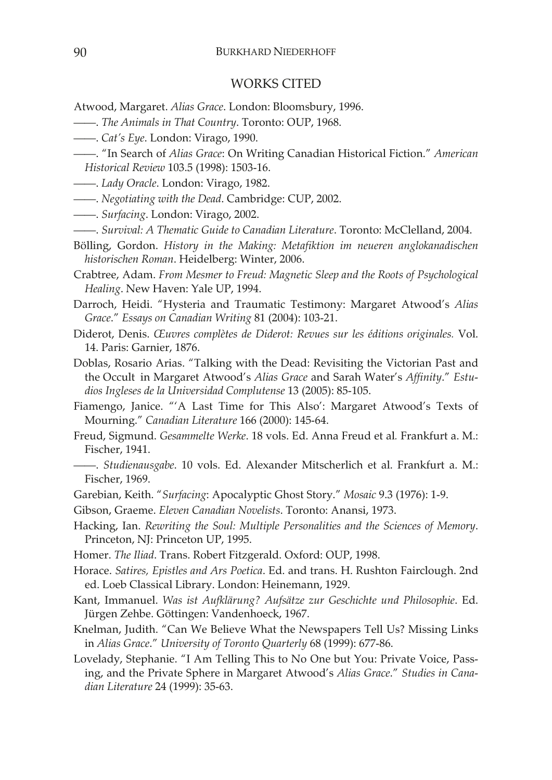#### WORKS CITED

- Atwood, Margaret. *Alias Grace*. London: Bloomsbury, 1996.
- ——. *The Animals in That Country*. Toronto: OUP, 1968.
- ——. *Cat's Eye*. London: Virago, 1990.
- ——. "In Search of *Alias Grace*: On Writing Canadian Historical Fiction." *American Historical Review* 103.5 (1998): 1503-16.
- ——. *Lady Oracle*. London: Virago, 1982.
- ——. *Negotiating with the Dead*. Cambridge: CUP, 2002.
- ——. *Surfacing*. London: Virago, 2002.
- ——. *Survival: A Thematic Guide to Canadian Literature*. Toronto: McClelland, 2004.
- Bölling, Gordon. *History in the Making: Metafiktion im neueren anglokanadischen historischen Roman*. Heidelberg: Winter, 2006.
- Crabtree, Adam. *From Mesmer to Freud: Magnetic Sleep and the Roots of Psychological Healing*. New Haven: Yale UP, 1994.
- Darroch, Heidi. "Hysteria and Traumatic Testimony: Margaret Atwood's *Alias Grace*." *Essays on Canadian Writing* 81 (2004): 103-21.
- Diderot, Denis. *Œuvres complètes de Diderot: Revues sur les éditions originales.* Vol. 14. Paris: Garnier, 1876.
- Doblas, Rosario Arias. "Talking with the Dead: Revisiting the Victorian Past and the Occult in Margaret Atwood's *Alias Grace* and Sarah Water's *Affinity*." *Estudios Ingleses de la Universidad Complutense* 13 (2005): 85-105.
- Fiamengo, Janice. "'A Last Time for This Also': Margaret Atwood's Texts of Mourning." *Canadian Literature* 166 (2000): 145-64.
- Freud, Sigmund. *Gesammelte Werke*. 18 vols. Ed. Anna Freud et al*.* Frankfurt a. M.: Fischer, 1941.
- ——. *Studienausgabe*. 10 vols. Ed. Alexander Mitscherlich et al. Frankfurt a. M.: Fischer, 1969.
- Garebian, Keith. "*Surfacing*: Apocalyptic Ghost Story." *Mosaic* 9.3 (1976): 1-9.
- Gibson, Graeme. *Eleven Canadian Novelists*. Toronto: Anansi, 1973.
- Hacking, Ian. *Rewriting the Soul: Multiple Personalities and the Sciences of Memory*. Princeton, NJ: Princeton UP, 1995.
- Homer. *The Iliad*. Trans. Robert Fitzgerald. Oxford: OUP, 1998.
- Horace. *Satires, Epistles and Ars Poetica*. Ed. and trans. H. Rushton Fairclough. 2nd ed. Loeb Classical Library. London: Heinemann, 1929.
- Kant, Immanuel. *Was ist Aufklärung? Aufsätze zur Geschichte und Philosophie*. Ed. Jürgen Zehbe. Göttingen: Vandenhoeck, 1967.
- Knelman, Judith. "Can We Believe What the Newspapers Tell Us? Missing Links in *Alias Grace*." *University of Toronto Quarterly* 68 (1999): 677-86.
- Lovelady, Stephanie. "I Am Telling This to No One but You: Private Voice, Passing, and the Private Sphere in Margaret Atwood's *Alias Grace*." *Studies in Canadian Literature* 24 (1999): 35-63.